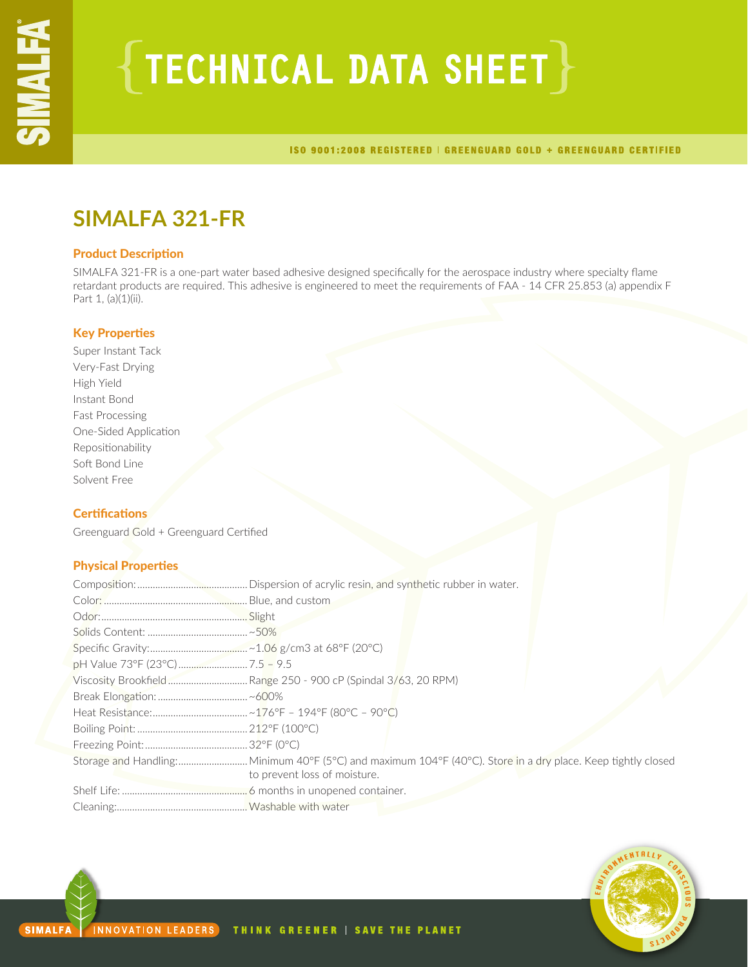# ${TECHNICAL DATA SHEET}$

ISO 9001:2008 REGISTERED | GREENGUARD GOLD + GREENGUARD CERTIFIED

# **SIMALFA 321-FR**

# Product Description

SIMALFA 321-FR is a one-part water based adhesive designed specifically for the aerospace industry where specialty flame retardant products are required. This adhesive is engineered to meet the requirements of FAA - 14 CFR 25.853 (a) appendix F Part 1, (a)(1)(ii).

# Key Properties

Super Instant Tack Very-Fast Drying High Yield Instant Bond Fast Processing One-Sided Application Repositionability Soft Bond Line Solvent Free

# **Certifications**

Greenguard Gold + Greenguard Certified

# Physical Properties

| to prevent loss of moisture. |
|------------------------------|
|                              |
|                              |

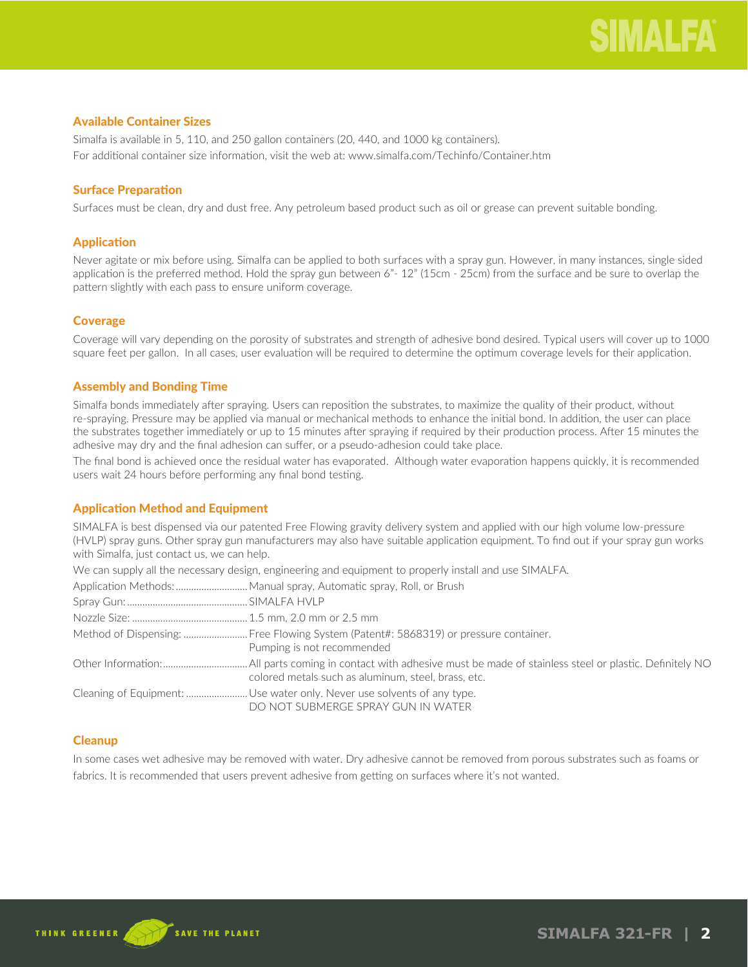# Available Container Sizes

Simalfa is available in 5, 110, and 250 gallon containers (20, 440, and 1000 kg containers). For additional container size information, visit the web at: www.simalfa.com/Techinfo/Container.htm

# Surface Preparation

Surfaces must be clean, dry and dust free. Any petroleum based product such as oil or grease can prevent suitable bonding.

# Application

Never agitate or mix before using. Simalfa can be applied to both surfaces with a spray gun. However, in many instances, single sided application is the preferred method. Hold the spray gun between 6"- 12" (15cm - 25cm) from the surface and be sure to overlap the pattern slightly with each pass to ensure uniform coverage.

# **Coverage**

Coverage will vary depending on the porosity of substrates and strength of adhesive bond desired. Typical users will cover up to 1000 square feet per gallon. In all cases, user evaluation will be required to determine the optimum coverage levels for their application.

# Assembly and Bonding Time

Simalfa bonds immediately after spraying. Users can reposition the substrates, to maximize the quality of their product, without re-spraying. Pressure may be applied via manual or mechanical methods to enhance the initial bond. In addition, the user can place the substrates together immediately or up to 15 minutes after spraying if required by their production process. After 15 minutes the adhesive may dry and the final adhesion can suffer, or a pseudo-adhesion could take place.

The final bond is achieved once the residual water has evaporated. Although water evaporation happens quickly, it is recommended users wait 24 hours before performing any final bond testing.

# Application Method and Equipment

SIMALFA is best dispensed via our patented Free Flowing gravity delivery system and applied with our high volume low-pressure (HVLP) spray guns. Other spray gun manufacturers may also have suitable application equipment. To find out if your spray gun works with Simalfa, just contact us, we can help.

We can supply all the necessary design, engineering and equipment to properly install and use SIMALFA.

| Application Methods:  Manual spray, Automatic spray, Roll, or Brush                                                |
|--------------------------------------------------------------------------------------------------------------------|
|                                                                                                                    |
|                                                                                                                    |
| Method of Dispensing:  Free Flowing System (Patent#: 5868319) or pressure container.<br>Pumping is not recommended |
| colored metals such as aluminum, steel, brass, etc.                                                                |
| DO NOT SUBMERGE SPRAY GUN IN WATER                                                                                 |

# **Cleanup**

In some cases wet adhesive may be removed with water. Dry adhesive cannot be removed from porous substrates such as foams or fabrics. It is recommended that users prevent adhesive from getting on surfaces where it's not wanted.

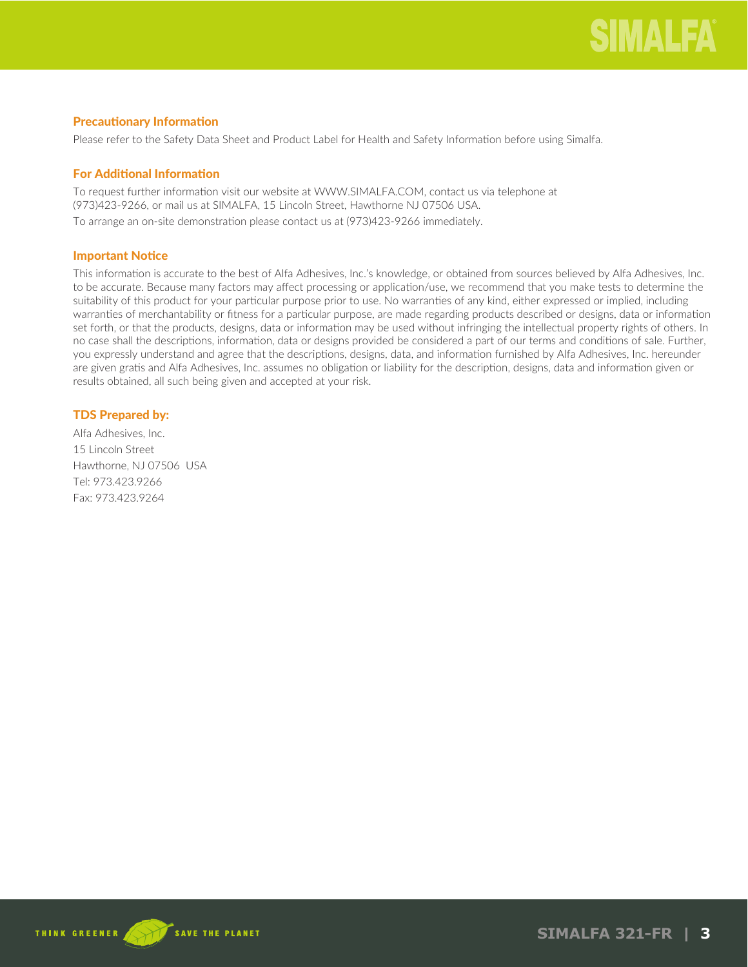# Precautionary Information

Please refer to the Safety Data Sheet and Product Label for Health and Safety Information before using Simalfa.

# For Additional Information

To request further information visit our website at WWW.SIMALFA.COM, contact us via telephone at (973)423-9266, or mail us at SIMALFA, 15 Lincoln Street, Hawthorne NJ 07506 USA. To arrange an on-site demonstration please contact us at (973)423-9266 immediately.

# Important Notice

This information is accurate to the best of Alfa Adhesives, Inc.'s knowledge, or obtained from sources believed by Alfa Adhesives, Inc. to be accurate. Because many factors may affect processing or application/use, we recommend that you make tests to determine the suitability of this product for your particular purpose prior to use. No warranties of any kind, either expressed or implied, including warranties of merchantability or fitness for a particular purpose, are made regarding products described or designs, data or information set forth, or that the products, designs, data or information may be used without infringing the intellectual property rights of others. In no case shall the descriptions, information, data or designs provided be considered a part of our terms and conditions of sale. Further, you expressly understand and agree that the descriptions, designs, data, and information furnished by Alfa Adhesives, Inc. hereunder are given gratis and Alfa Adhesives, Inc. assumes no obligation or liability for the description, designs, data and information given or results obtained, all such being given and accepted at your risk.

# TDS Prepared by:

Alfa Adhesives, Inc. 15 Lincoln Street Hawthorne, NJ 07506 USA Tel: 973.423.9266 Fax: 973.423.9264

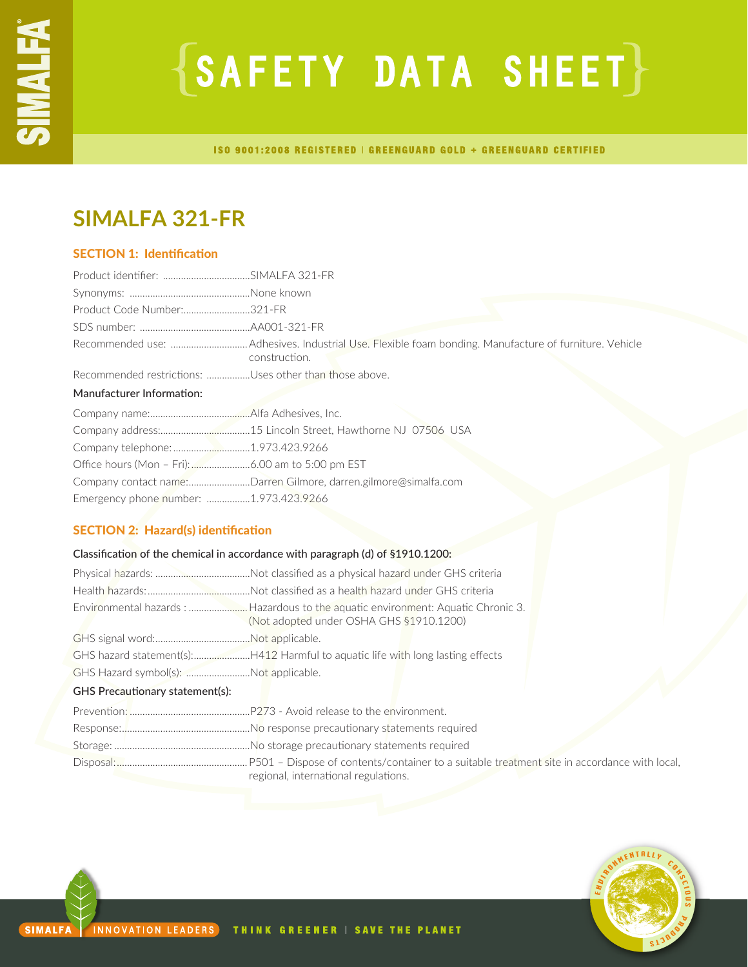# $\{SAFFITY$  DATA SHEET $\}$

ISO 9001:2008 REGISTERED | GREENGUARD GOLD + GREENGUARD CERTIFIED

# **SIMALFA 321-FR**

# SECTION 1: Identification

| Product Code Number:321-FR                             |                                                                 |
|--------------------------------------------------------|-----------------------------------------------------------------|
|                                                        |                                                                 |
|                                                        | construction.                                                   |
| Recommended restrictions: Uses other than those above. |                                                                 |
| Manufacturer Information:                              |                                                                 |
|                                                        |                                                                 |
|                                                        |                                                                 |
| Company telephone: 1.973.423.9266                      |                                                                 |
|                                                        |                                                                 |
|                                                        | Company contact name:Darren Gilmore, darren.gilmore@simalfa.com |
| Emergency phone number: 1.973.423.9266                 |                                                                 |

# SECTION 2: Hazard(s) identification

# Classification of the chemical in accordance with paragraph (d) of §1910.1200:

|                                       | (Not adopted under OSHA GHS §1910.1200)                                        |  |
|---------------------------------------|--------------------------------------------------------------------------------|--|
|                                       |                                                                                |  |
|                                       | GHS hazard statement(s):H412 Harmful to aquatic life with long lasting effects |  |
| GHS Hazard symbol(s): Not applicable. |                                                                                |  |
| GHS Precautionary statement(s):       |                                                                                |  |
|                                       |                                                                                |  |
|                                       |                                                                                |  |
|                                       |                                                                                |  |
|                                       | regional, international regulations.                                           |  |



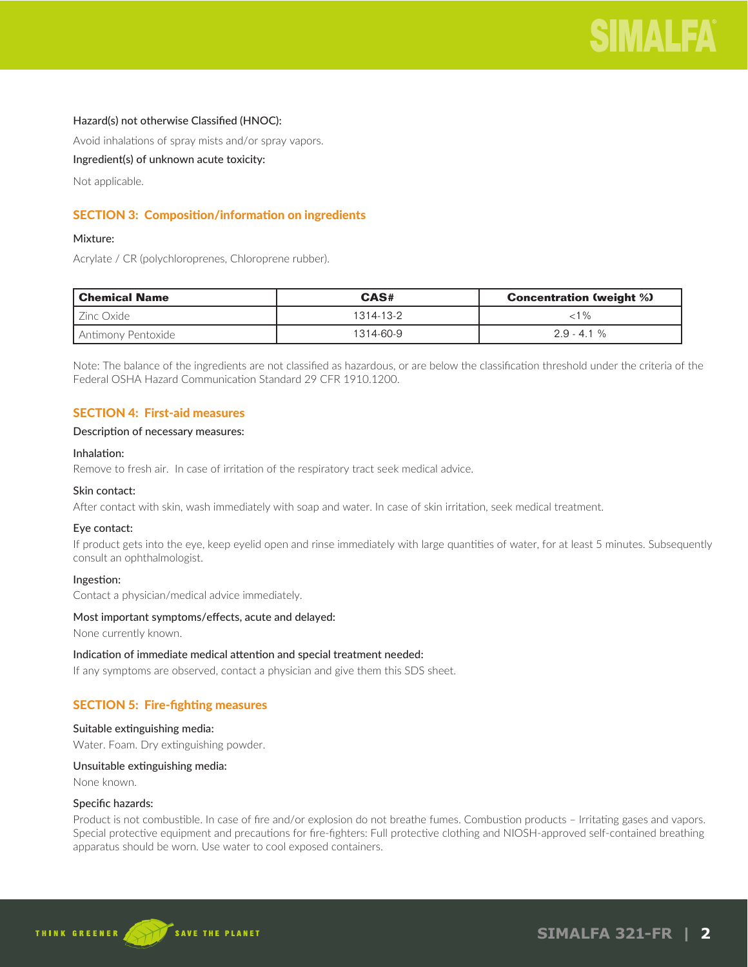# Hazard(s) not otherwise Classified (HNOC):

Avoid inhalations of spray mists and/or spray vapors.

# Ingredient(s) of unknown acute toxicity:

Not applicable.

# SECTION 3: Composition/information on ingredients

# Mixture:

Acrylate / CR (polychloroprenes, Chloroprene rubber).

| Chemical Name      | CAS#      | <b>Concentration (weight %)</b> |
|--------------------|-----------|---------------------------------|
| LZinc Oxide        | 1314-13-2 | ${<}1\%$                        |
| Antimony Pentoxide | 1314-60-9 | $2.9 - 4.1 \%$                  |

Note: The balance of the ingredients are not classified as hazardous, or are below the classification threshold under the criteria of the Federal OSHA Hazard Communication Standard 29 CFR 1910.1200.

# SECTION 4: First-aid measures

#### Description of necessary measures:

#### Inhalation:

Remove to fresh air. In case of irritation of the respiratory tract seek medical advice.

# Skin contact:

After contact with skin, wash immediately with soap and water. In case of skin irritation, seek medical treatment.

# Eye contact:

If product gets into the eye, keep eyelid open and rinse immediately with large quantities of water, for at least 5 minutes. Subsequently consult an ophthalmologist.

# Ingestion:

Contact a physician/medical advice immediately.

#### Most important symptoms/effects, acute and delayed:

None currently known.

#### Indication of immediate medical attention and special treatment needed:

If any symptoms are observed, contact a physician and give them this SDS sheet.

# SECTION 5: Fire-fighting measures

#### Suitable extinguishing media:

Water. Foam. Dry extinguishing powder.

#### Unsuitable extinguishing media:

None known.

# Specific hazards:

Product is not combustible. In case of fire and/or explosion do not breathe fumes. Combustion products – Irritating gases and vapors. Special protective equipment and precautions for fire-fighters: Full protective clothing and NIOSH-approved self-contained breathing apparatus should be worn. Use water to cool exposed containers.

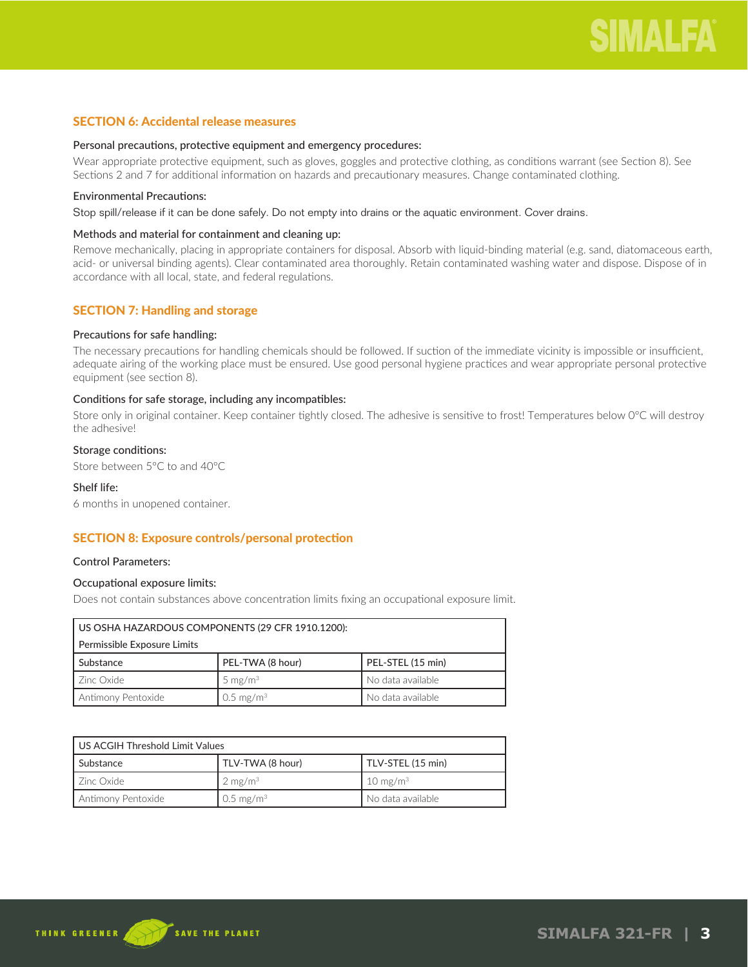# SECTION 6: Accidental release measures

#### Personal precautions, protective equipment and emergency procedures:

Wear appropriate protective equipment, such as gloves, goggles and protective clothing, as conditions warrant (see Section 8). See Sections 2 and 7 for additional information on hazards and precautionary measures. Change contaminated clothing.

#### Environmental Precautions:

Stop spill/release if it can be done safely. Do not empty into drains or the aquatic environment. Cover drains.

# Methods and material for containment and cleaning up:

Remove mechanically, placing in appropriate containers for disposal. Absorb with liquid-binding material (e.g. sand, diatomaceous earth, acid- or universal binding agents). Clear contaminated area thoroughly. Retain contaminated washing water and dispose. Dispose of in accordance with all local, state, and federal regulations.

# SECTION 7: Handling and storage

#### Precautions for safe handling:

The necessary precautions for handling chemicals should be followed. If suction of the immediate vicinity is impossible or insufficient, adequate airing of the working place must be ensured. Use good personal hygiene practices and wear appropriate personal protective equipment (see section 8).

#### Conditions for safe storage, including any incompatibles:

Store only in original container. Keep container tightly closed. The adhesive is sensitive to frost! Temperatures below 0°C will destroy the adhesive!

#### Storage conditions:

Store between 5°C to and 40°C

# Shelf life:

6 months in unopened container.

# SECTION 8: Exposure controls/personal protection

#### Control Parameters:

# Occupational exposure limits:

Does not contain substances above concentration limits fixing an occupational exposure limit.

| US OSHA HAZARDOUS COMPONENTS (29 CFR 1910.1200):                 |                  |                   |
|------------------------------------------------------------------|------------------|-------------------|
| Permissible Exposure Limits                                      |                  |                   |
| Substance                                                        | PEL-TWA (8 hour) | PEL-STEL (15 min) |
| I Zinc Oxide                                                     | 5 mg/m $3$       | No data available |
| Antimony Pentoxide<br>No data available<br>0.5 mg/m <sup>3</sup> |                  |                   |

| US ACGIH Threshold Limit Values                                    |                    |                     |
|--------------------------------------------------------------------|--------------------|---------------------|
| l Substance                                                        | TLV-TWA (8 hour)   | TLV-STEL (15 min)   |
| LZinc Oxide                                                        | $2 \text{ mg/m}^3$ | $10 \text{ mg/m}^3$ |
| Antimony Pentoxide<br>$0.5$ mg/m <sup>3</sup><br>No data available |                    |                     |

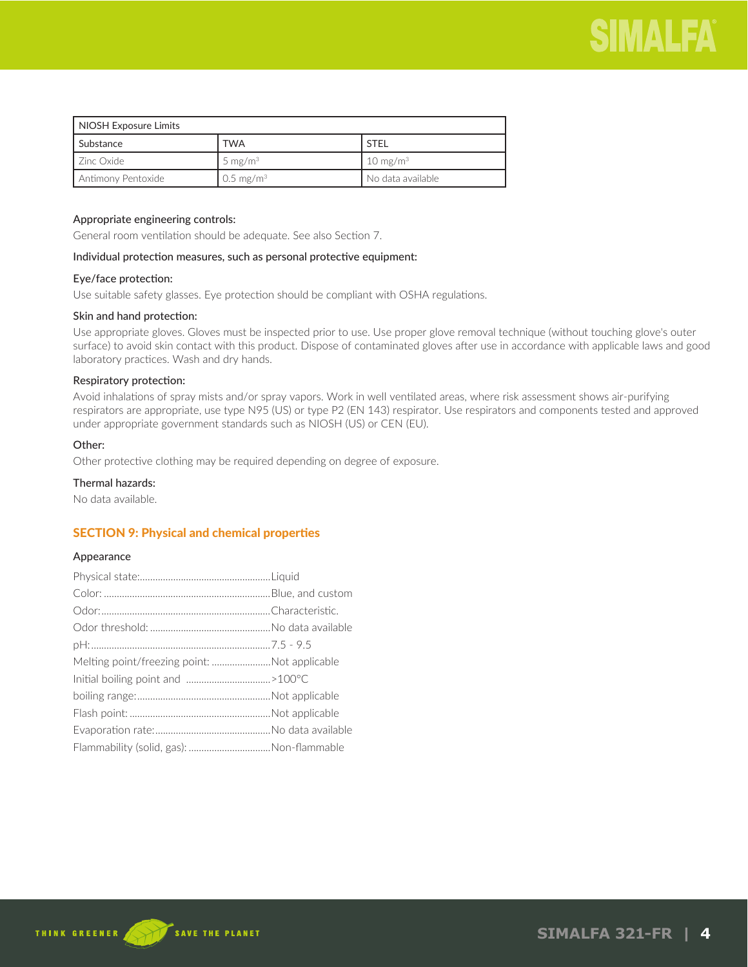

| NIOSH Exposure Limits |                      |                     |
|-----------------------|----------------------|---------------------|
| Substance             | <b>TWA</b>           | <b>STFI</b>         |
| l Zinc Oxide I        | 5 mg/m $3$           | $10 \text{ mg/m}^3$ |
| Antimony Pentoxide    | $0.5 \text{ mg/m}^3$ | No data available   |

# Appropriate engineering controls:

General room ventilation should be adequate. See also Section 7.

#### Individual protection measures, such as personal protective equipment:

#### Eye/face protection:

Use suitable safety glasses. Eye protection should be compliant with OSHA regulations.

# Skin and hand protection:

Use appropriate gloves. Gloves must be inspected prior to use. Use proper glove removal technique (without touching glove's outer surface) to avoid skin contact with this product. Dispose of contaminated gloves after use in accordance with applicable laws and good laboratory practices. Wash and dry hands.

### Respiratory protection:

Avoid inhalations of spray mists and/or spray vapors. Work in well ventilated areas, where risk assessment shows air-purifying respirators are appropriate, use type N95 (US) or type P2 (EN 143) respirator. Use respirators and components tested and approved under appropriate government standards such as NIOSH (US) or CEN (EU).

# Other:

Other protective clothing may be required depending on degree of exposure.

# Thermal hazards:

No data available.

# SECTION 9: Physical and chemical properties

#### Appearance

| Melting point/freezing point: Not applicable |  |
|----------------------------------------------|--|
|                                              |  |
|                                              |  |
|                                              |  |
|                                              |  |
|                                              |  |

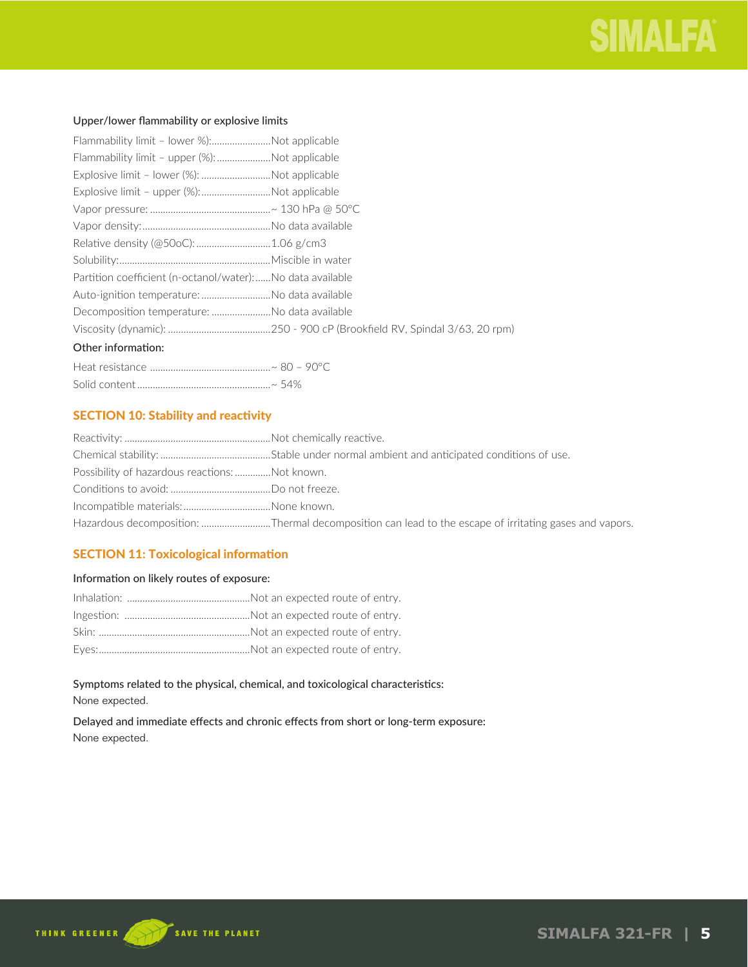# Upper/lower flammability or explosive limits

| Flammability limit - lower %):Not applicable              |  |
|-----------------------------------------------------------|--|
| Flammability limit - upper (%): Not applicable            |  |
| Explosive limit - lower (%): Not applicable               |  |
| Explosive limit - upper (%):Not applicable                |  |
|                                                           |  |
|                                                           |  |
|                                                           |  |
|                                                           |  |
| Partition coefficient (n-octanol/water):No data available |  |
|                                                           |  |
| Decomposition temperature: No data available              |  |
|                                                           |  |
| Other information:                                        |  |

| ~ 54% |
|-------|

# SECTION 10: Stability and reactivity

| Possibility of hazardous reactions: Not known. |                                                                                                       |
|------------------------------------------------|-------------------------------------------------------------------------------------------------------|
|                                                |                                                                                                       |
|                                                |                                                                                                       |
|                                                | Hazardous decomposition: Thermal decomposition can lead to the escape of irritating gases and vapors. |

# SECTION 11: Toxicological information

# Information on likely routes of exposure:

# Symptoms related to the physical, chemical, and toxicological characteristics: None expected.

# Delayed and immediate effects and chronic effects from short or long-term exposure: None expected.

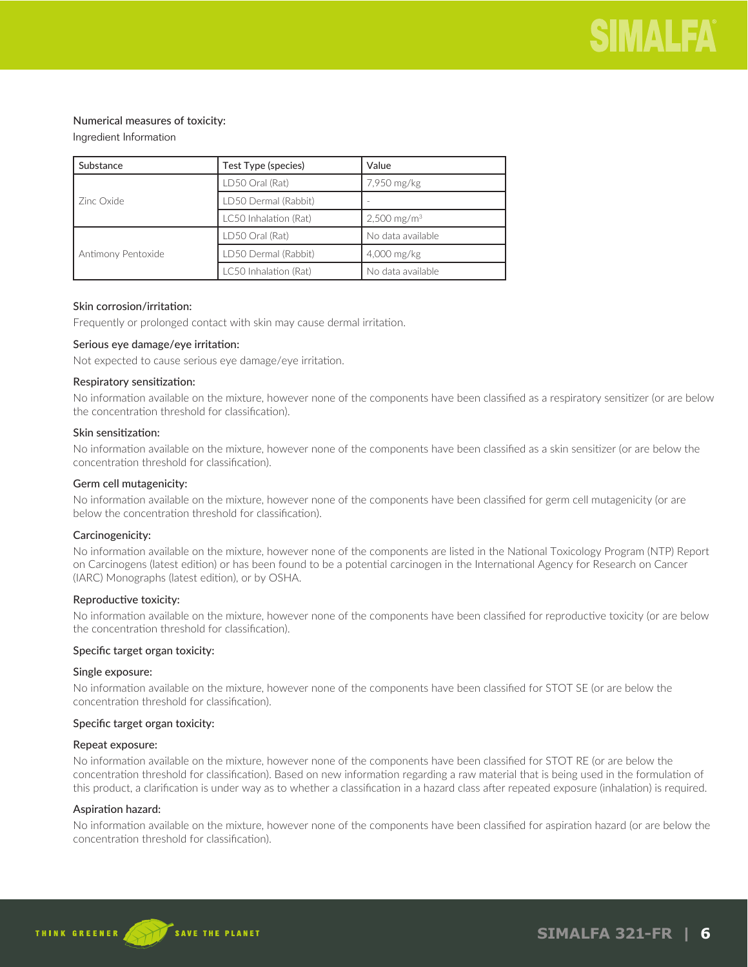# Numerical measures of toxicity:

# Ingredient Information

| Substance          | Test Type (species)   | Value                     |
|--------------------|-----------------------|---------------------------|
| Zinc Oxide         | LD50 Oral (Rat)       | 7,950 mg/kg               |
|                    | LD50 Dermal (Rabbit)  |                           |
|                    | LC50 Inhalation (Rat) | $2,500$ mg/m <sup>3</sup> |
| Antimony Pentoxide | LD50 Oral (Rat)       | No data available         |
|                    | LD50 Dermal (Rabbit)  | 4,000 mg/kg               |
|                    | LC50 Inhalation (Rat) | No data available         |

#### Skin corrosion/irritation:

Frequently or prolonged contact with skin may cause dermal irritation.

#### Serious eye damage/eye irritation:

Not expected to cause serious eye damage/eye irritation.

#### Respiratory sensitization:

No information available on the mixture, however none of the components have been classified as a respiratory sensitizer (or are below the concentration threshold for classification).

#### Skin sensitization:

No information available on the mixture, however none of the components have been classified as a skin sensitizer (or are below the concentration threshold for classification).

#### Germ cell mutagenicity:

No information available on the mixture, however none of the components have been classified for germ cell mutagenicity (or are below the concentration threshold for classification).

#### Carcinogenicity:

No information available on the mixture, however none of the components are listed in the National Toxicology Program (NTP) Report on Carcinogens (latest edition) or has been found to be a potential carcinogen in the International Agency for Research on Cancer (IARC) Monographs (latest edition), or by OSHA.

#### Reproductive toxicity:

No information available on the mixture, however none of the components have been classified for reproductive toxicity (or are below the concentration threshold for classification).

#### Specific target organ toxicity:

#### Single exposure:

No information available on the mixture, however none of the components have been classified for STOT SE (or are below the concentration threshold for classification).

#### Specific target organ toxicity:

#### Repeat exposure:

No information available on the mixture, however none of the components have been classified for STOT RE (or are below the concentration threshold for classification). Based on new information regarding a raw material that is being used in the formulation of this product, a clarification is under way as to whether a classification in a hazard class after repeated exposure (inhalation) is required.

# Aspiration hazard:

No information available on the mixture, however none of the components have been classified for aspiration hazard (or are below the concentration threshold for classification).

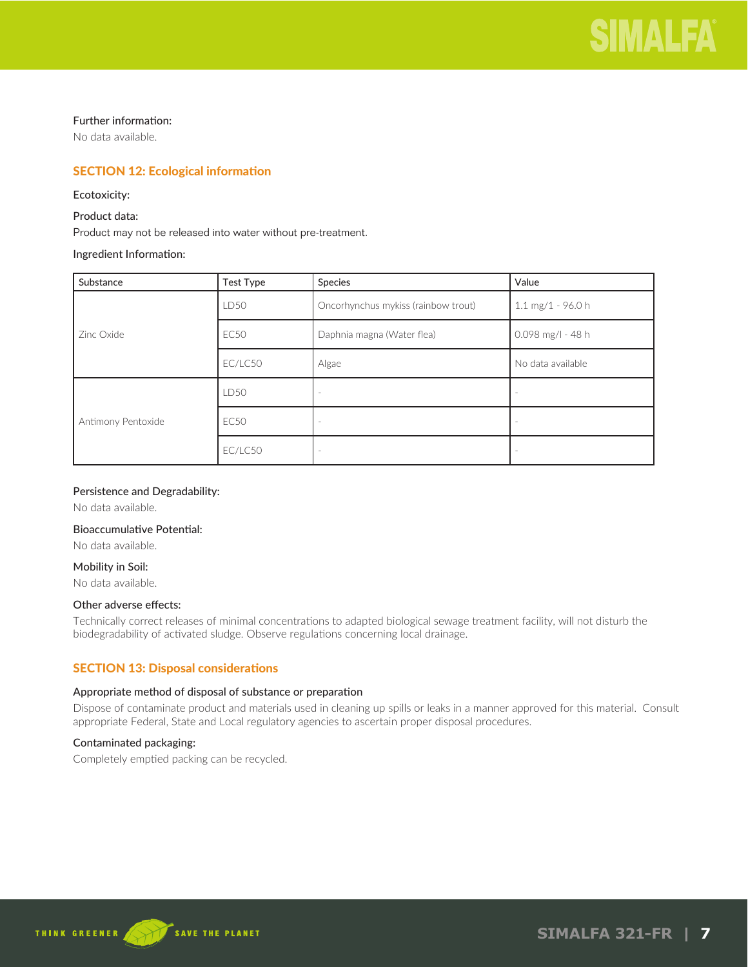

# Further information:

No data available.

# SECTION 12: Ecological information

# Ecotoxicity:

# Product data:

Product may not be released into water without pre-treatment.

# Ingredient Information:

| Substance          | <b>Test Type</b> | Species                             | Value                               |
|--------------------|------------------|-------------------------------------|-------------------------------------|
|                    | LD50             | Oncorhynchus mykiss (rainbow trout) | $1.1 \text{ mg}/1 - 96.0 \text{ h}$ |
| Zinc Oxide         | <b>EC50</b>      | Daphnia magna (Water flea)          | $0.098$ mg/l - 48 h                 |
|                    | EC/LC50          | Algae                               | No data available                   |
|                    | LD50             |                                     | $\overline{\phantom{a}}$            |
| Antimony Pentoxide | <b>EC50</b>      |                                     | $\sim$                              |
|                    | EC/LC50          |                                     |                                     |

# Persistence and Degradability:

No data available.

#### Bioaccumulative Potential:

No data available.

#### Mobility in Soil:

No data available.

# Other adverse effects:

Technically correct releases of minimal concentrations to adapted biological sewage treatment facility, will not disturb the biodegradability of activated sludge. Observe regulations concerning local drainage.

# SECTION 13: Disposal considerations

# Appropriate method of disposal of substance or preparation

Dispose of contaminate product and materials used in cleaning up spills or leaks in a manner approved for this material. Consult appropriate Federal, State and Local regulatory agencies to ascertain proper disposal procedures.

# Contaminated packaging:

Completely emptied packing can be recycled.

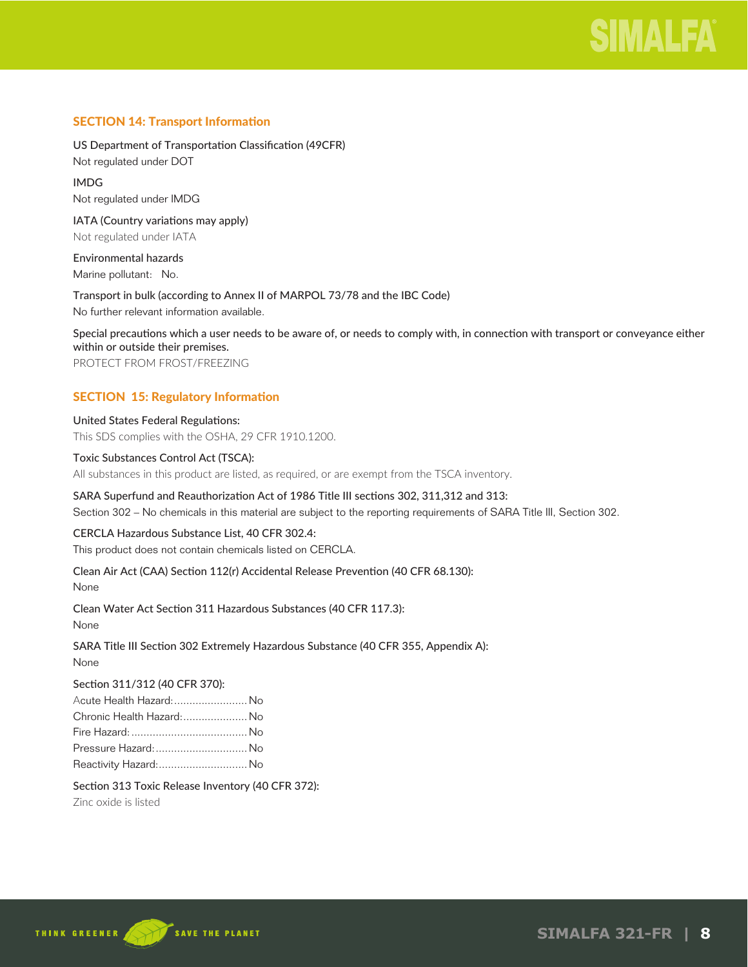

# SECTION 14: Transport Information

US Department of Transportation Classification (49CFR) Not regulated under DOT

IMDG Not regulated under IMDG

IATA (Country variations may apply) Not regulated under IATA

Environmental hazards Marine pollutant: No.

Transport in bulk (according to Annex II of MARPOL 73/78 and the IBC Code) No further relevant information available.

Special precautions which a user needs to be aware of, or needs to comply with, in connection with transport or conveyance either within or outside their premises.

PROTECT FROM FROST/FREEZING

# SECTION 15: Regulatory Information

United States Federal Regulations: This SDS complies with the OSHA, 29 CFR 1910.1200.

#### Toxic Substances Control Act (TSCA):

All substances in this product are listed, as required, or are exempt from the TSCA inventory.

# SARA Superfund and Reauthorization Act of 1986 Title III sections 302, 311,312 and 313:

Section 302 – No chemicals in this material are subject to the reporting requirements of SARA Title III, Section 302.

#### CERCLA Hazardous Substance List, 40 CFR 302.4:

This product does not contain chemicals listed on CERCLA.

# Clean Air Act (CAA) Section 112(r) Accidental Release Prevention (40 CFR 68.130):

None

Clean Water Act Section 311 Hazardous Substances (40 CFR 117.3):

None

SARA Title III Section 302 Extremely Hazardous Substance (40 CFR 355, Appendix A): None

# Section 311/312 (40 CFR 370):

| Acute Health Hazard:  No  |  |
|---------------------------|--|
| Chronic Health Hazard: No |  |
|                           |  |
| Pressure Hazard:  No      |  |
| Reactivity Hazard: No     |  |

# Section 313 Toxic Release Inventory (40 CFR 372):

Zinc oxide is listed

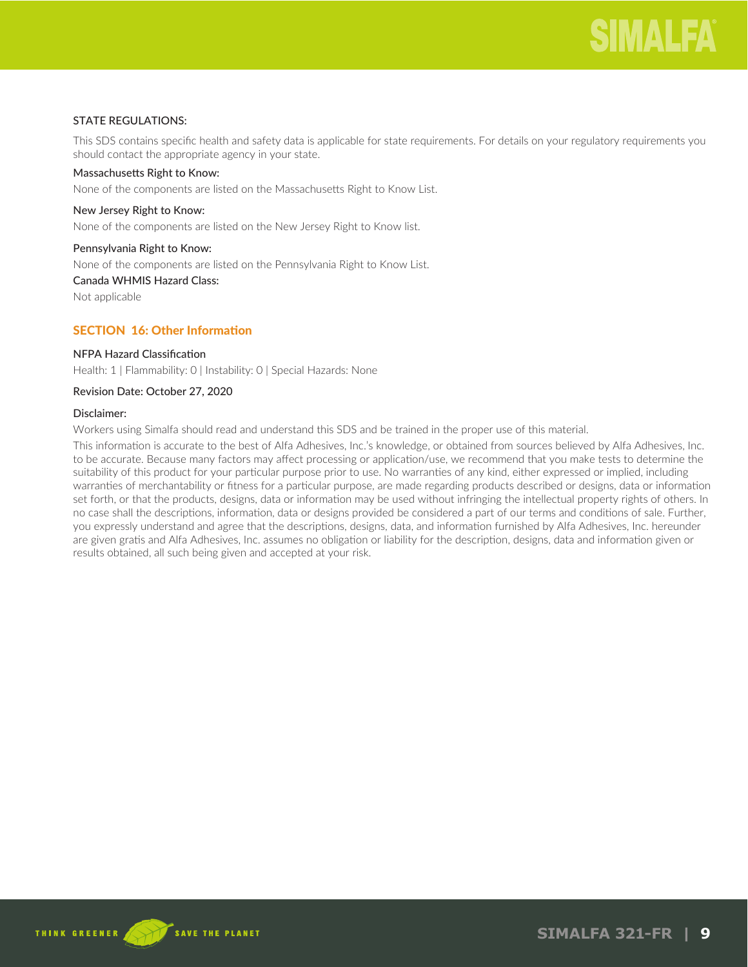# STATE REGULATIONS:

This SDS contains specific health and safety data is applicable for state requirements. For details on your regulatory requirements you should contact the appropriate agency in your state.

# Massachusetts Right to Know:

None of the components are listed on the Massachusetts Right to Know List.

#### New Jersey Right to Know:

None of the components are listed on the New Jersey Right to Know list.

#### Pennsylvania Right to Know:

None of the components are listed on the Pennsylvania Right to Know List.

# Canada WHMIS Hazard Class:

Not applicable

# SECTION 16: Other Information

#### NFPA Hazard Classification

Health: 1 | Flammability: 0 | Instability: 0 | Special Hazards: None

#### Revision Date: October 27, 2020

#### Disclaimer:

Workers using Simalfa should read and understand this SDS and be trained in the proper use of this material.

This information is accurate to the best of Alfa Adhesives, Inc.'s knowledge, or obtained from sources believed by Alfa Adhesives, Inc. to be accurate. Because many factors may affect processing or application/use, we recommend that you make tests to determine the suitability of this product for your particular purpose prior to use. No warranties of any kind, either expressed or implied, including warranties of merchantability or fitness for a particular purpose, are made regarding products described or designs, data or information set forth, or that the products, designs, data or information may be used without infringing the intellectual property rights of others. In no case shall the descriptions, information, data or designs provided be considered a part of our terms and conditions of sale. Further, you expressly understand and agree that the descriptions, designs, data, and information furnished by Alfa Adhesives, Inc. hereunder are given gratis and Alfa Adhesives, Inc. assumes no obligation or liability for the description, designs, data and information given or results obtained, all such being given and accepted at your risk.

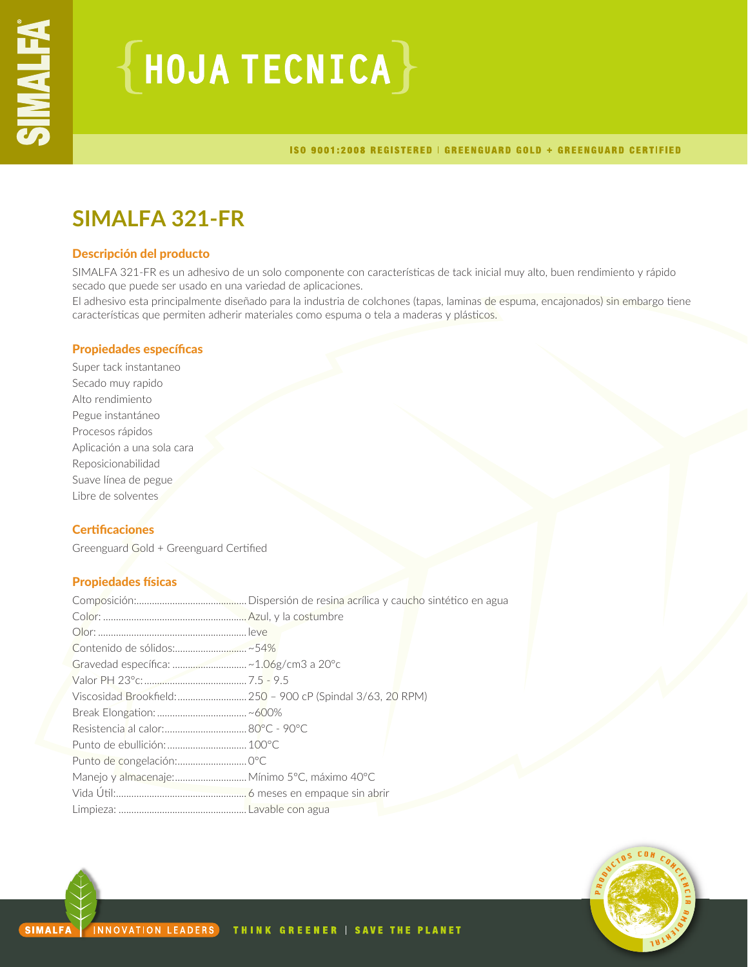# ${HoudATECNICA}$

ISO 9001:2008 REGISTERED | GREENGUARD GOLD + GREENGUARD CERTIFIED

# **SIMALFA 321-FR**

# Descripción del producto

SIMALFA 321-FR es un adhesivo de un solo componente con características de tack inicial muy alto, buen rendimiento y rápido secado que puede ser usado en una variedad de aplicaciones.

El adhesivo esta principalmente diseñado para la industria de colchones (tapas, laminas de espuma, encajonados) sin embargo tiene características que permiten adherir materiales como espuma o tela a maderas y plásticos.

# Propiedades específicas

Super tack instantaneo Secado muy rapido Alto rendimiento Pegue instantáneo Procesos rápidos Aplicación a una sola cara Reposicionabilidad Suave línea de pegue Libre de solventes

# **Certificaciones**

Greenguard Gold + Greenguard Certified

# Propiedades físicas

| Gravedad específica: ~ 1.06g/cm3 a 20°c      |  |
|----------------------------------------------|--|
|                                              |  |
|                                              |  |
|                                              |  |
|                                              |  |
| Punto de ebullición:  100°C                  |  |
|                                              |  |
| Manejo y almacenaje: Mínimo 5°C, máximo 40°C |  |
|                                              |  |
|                                              |  |

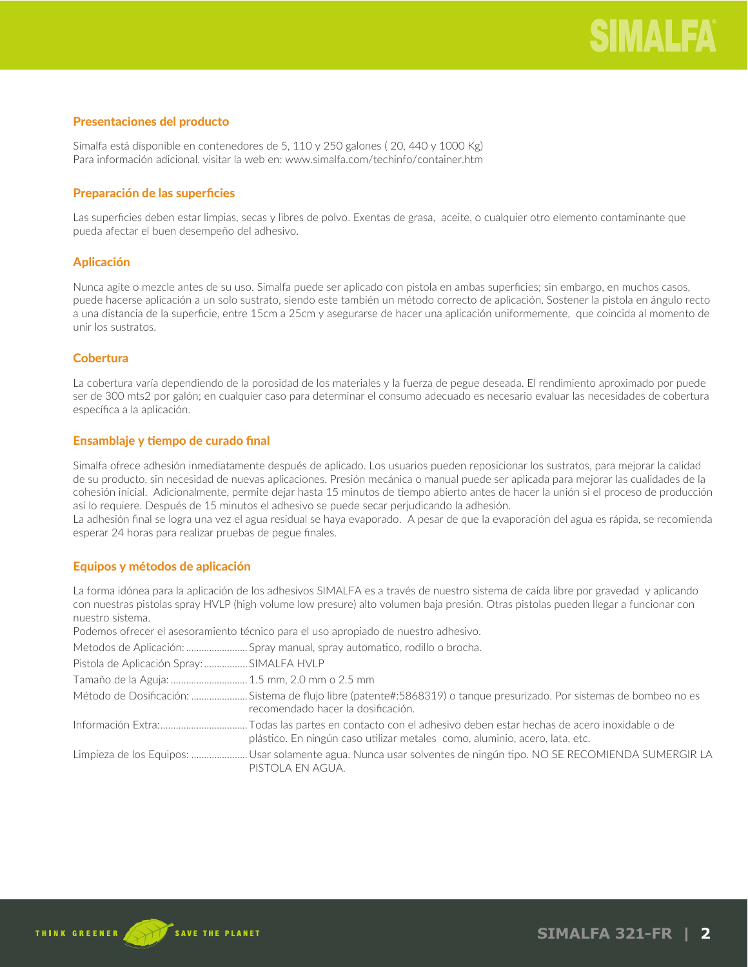# Presentaciones del producto

Simalfa está disponible en contenedores de 5, 110 y 250 galones ( 20, 440 y 1000 Kg) Para información adicional, visitar la web en: www.simalfa.com/techinfo/container.htm

# Preparación de las superficies

Las superficies deben estar limpias, secas y libres de polvo. Exentas de grasa, aceite, o cualquier otro elemento contaminante que pueda afectar el buen desempeño del adhesivo.

# Aplicación

Nunca agite o mezcle antes de su uso. Simalfa puede ser aplicado con pistola en ambas superficies; sin embargo, en muchos casos, puede hacerse aplicación a un solo sustrato, siendo este también un método correcto de aplicación. Sostener la pistola en ángulo recto a una distancia de la superficie, entre 15cm a 25cm y asegurarse de hacer una aplicación uniformemente, que coincida al momento de unir los sustratos.

# **Cobertura**

La cobertura varía dependiendo de la porosidad de los materiales y la fuerza de pegue deseada. El rendimiento aproximado por puede ser de 300 mts2 por galón; en cualquier caso para determinar el consumo adecuado es necesario evaluar las necesidades de cobertura específica a la aplicación.

# Ensamblaje y tiempo de curado final

Simalfa ofrece adhesión inmediatamente después de aplicado. Los usuarios pueden reposicionar los sustratos, para mejorar la calidad de su producto, sin necesidad de nuevas aplicaciones. Presión mecánica o manual puede ser aplicada para mejorar las cualidades de la cohesión inicial. Adicionalmente, permite dejar hasta 15 minutos de tiempo abierto antes de hacer la unión si el proceso de producción así lo requiere. Después de 15 minutos el adhesivo se puede secar perjudicando la adhesión.

La adhesión final se logra una vez el agua residual se haya evaporado. A pesar de que la evaporación del agua es rápida, se recomienda esperar 24 horas para realizar pruebas de pegue finales.

# Equipos y métodos de aplicación

La forma idónea para la aplicación de los adhesivos SIMALFA es a través de nuestro sistema de caída libre por gravedad y aplicando con nuestras pistolas spray HVLP (high volume low presure) alto volumen baja presión. Otras pistolas pueden llegar a funcionar con nuestro sistema.

Podemos ofrecer el asesoramiento técnico para el uso apropiado de nuestro adhesivo.

Metodos de Aplicación: ........................... Spray manual, spray automatico, rodillo o brocha.

Pistola de Aplicación Spray: .................. SIMALFA HVLP

Tamaño de la Aguja: ............................... 1.5 mm, 2.0 mm o 2.5 mm

Método de Dosificación: ............................. Sistema de flujo libre (patente#:5868319) o tanque presurizado. Por sistemas de bombeo no es recomendado hacer la dosificación.

Información Extra: Todas las partes en contacto con el adhesivo deben estar hechas de acero inoxidable o de plástico. En ningún caso utilizar metales como, aluminio, acero, lata, etc.

Limpieza de los Equipos: ........................ Usar solamente agua. Nunca usar solventes de ningún tipo. NO SE RECOMIENDA SUMERGIR LA PISTOLA EN AGUA.

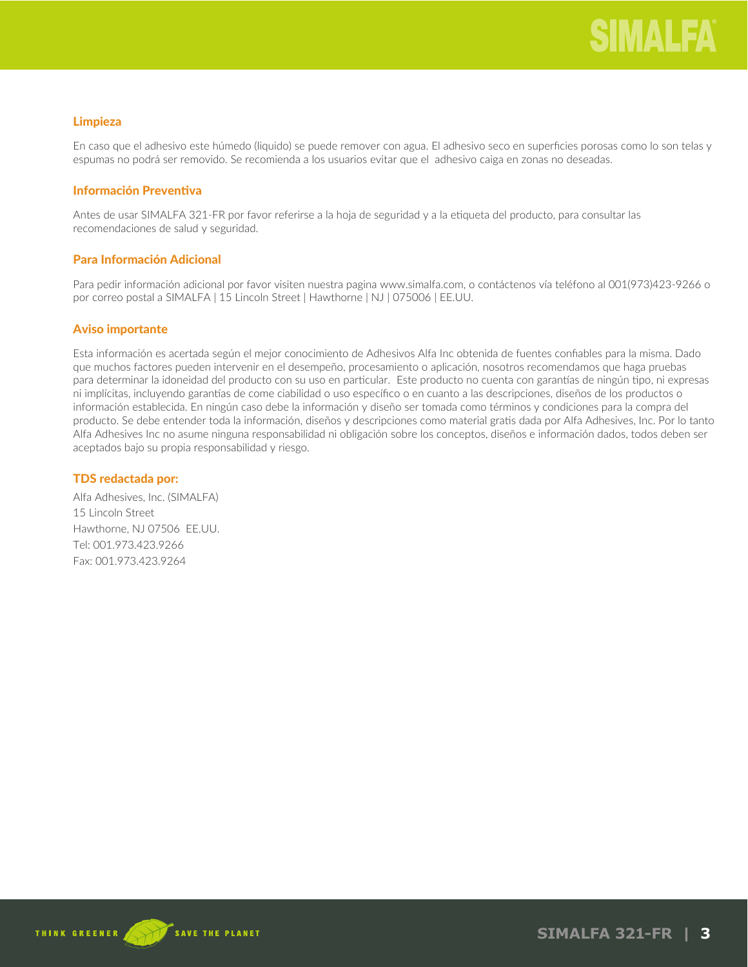# Limpieza

En caso que el adhesivo este húmedo (liquido) se puede remover con agua. El adhesivo seco en superficies porosas como lo son telas y espumas no podrá ser removido. Se recomienda a los usuarios evitar que el adhesivo caiga en zonas no deseadas.

# Información Preventiva

Antes de usar SIMALFA 321-FR por favor referirse a la hoja de seguridad y a la etiqueta del producto, para consultar las recomendaciones de salud y seguridad.

# Para Información Adicional

Para pedir información adicional por favor visiten nuestra pagina www.simalfa.com, o contáctenos vía teléfono al 001(973)423-9266 o por correo postal a SIMALFA | 15 Lincoln Street | Hawthorne | NJ | 075006 | EE.UU.

# Aviso importante

Esta información es acertada según el mejor conocimiento de Adhesivos Alfa Inc obtenida de fuentes confiables para la misma. Dado que muchos factores pueden intervenir en el desempeño, procesamiento o aplicación, nosotros recomendamos que haga pruebas para determinar la idoneidad del producto con su uso en particular. Este producto no cuenta con garantías de ningún tipo, ni expresas ni implícitas, incluyendo garantías de come ciabilidad o uso específico o en cuanto a las descripciones, diseños de los productos o información establecida. En ningún caso debe la información y diseño ser tomada como términos y condiciones para la compra del producto. Se debe entender toda la información, diseños y descripciones como material gratis dada por Alfa Adhesives, Inc. Por lo tanto Alfa Adhesives Inc no asume ninguna responsabilidad ni obligación sobre los conceptos, diseños e información dados, todos deben ser aceptados bajo su propia responsabilidad y riesgo.

# TDS redactada por:

Alfa Adhesives, Inc. (SIMALFA) 15 Lincoln Street Hawthorne, NJ 07506 EE.UU. Tel: 001.973.423.9266 Fax: 001.973.423.9264



**SIMALFA 321-FR | 3**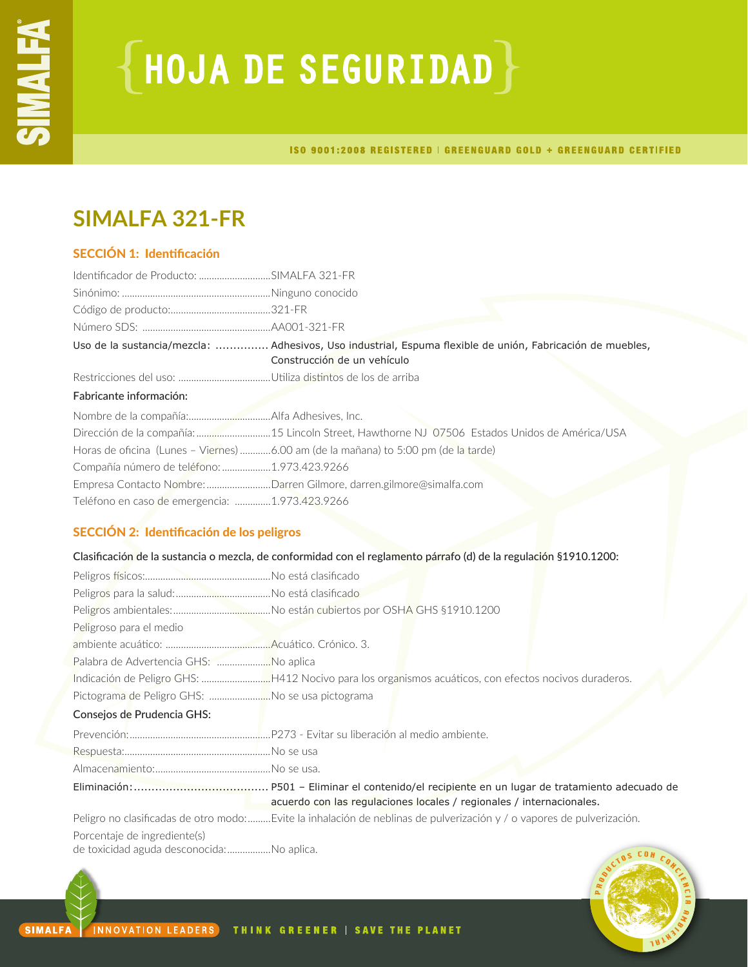# **{HOJA DE SEGURIDAD}**

ISO 9001:2008 REGISTERED | GREENGUARD GOLD + GREENGUARD CERTIFIED

# **SIMALFA 321-FR**

# SECCIÓN 1: Identificación

| Identificador de Producto: SIMALFA 321-FR      |                                                                                                                                          |
|------------------------------------------------|------------------------------------------------------------------------------------------------------------------------------------------|
|                                                |                                                                                                                                          |
|                                                |                                                                                                                                          |
|                                                |                                                                                                                                          |
|                                                | Uso de la sustancia/mezcla:  Adhesivos, Uso industrial, Espuma flexible de unión, Fabricación de muebles,<br>Construcción de un vehículo |
|                                                |                                                                                                                                          |
| Fabricante información:                        |                                                                                                                                          |
|                                                |                                                                                                                                          |
|                                                |                                                                                                                                          |
|                                                | Horas de oficina (Lunes - Viernes) 6.00 am (de la mañana) to 5:00 pm (de la tarde)                                                       |
| Compañía número de teléfono: 1.973.423.9266    |                                                                                                                                          |
|                                                | Empresa Contacto Nombre: Darren Gilmore, darren.gilmore@simalfa.com                                                                      |
| Teléfono en caso de emergencia: 1.973.423.9266 |                                                                                                                                          |

# SECCIÓN 2: Identificación de los peligros

# Clasificación de la sustancia o mezcla, de conformidad con el reglamento párrafo (d) de la regulación §1910.1200:

| Peligroso para el medio                         |                                                                                                                       |
|-------------------------------------------------|-----------------------------------------------------------------------------------------------------------------------|
|                                                 |                                                                                                                       |
| Palabra de Advertencia GHS: No aplica           |                                                                                                                       |
|                                                 |                                                                                                                       |
| Pictograma de Peligro GHS: No se usa pictograma |                                                                                                                       |
| Consejos de Prudencia GHS:                      |                                                                                                                       |
|                                                 |                                                                                                                       |
|                                                 |                                                                                                                       |
|                                                 |                                                                                                                       |
|                                                 | acuerdo con las regulaciones locales / regionales / internacionales.                                                  |
|                                                 | Peligro no clasificadas de otro modo:Evite la inhalación de neblinas de pulverización y / o vapores de pulverización. |
| Porcentaje de ingrediente(s)                    |                                                                                                                       |

de toxicidad aguda desconocida:.................No aplica.

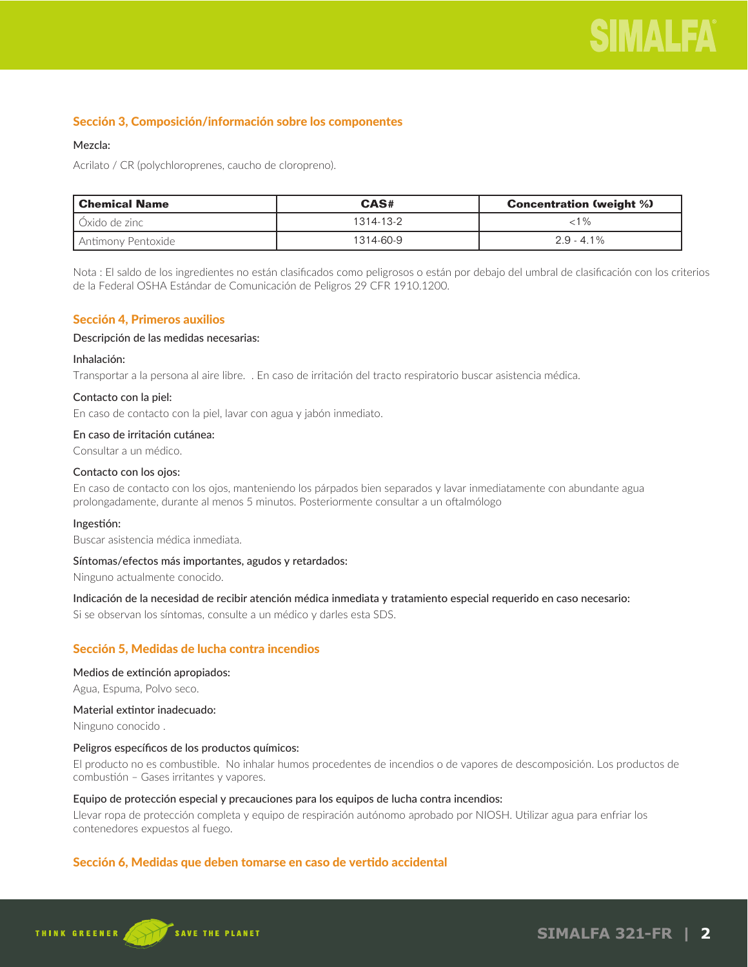# Sección 3, Composición/información sobre los componentes

# Mezcla:

Acrilato / CR (polychloroprenes, caucho de cloropreno).

| l Chemical Name    | CAS#      | <b>Concentration (weight %)</b> |
|--------------------|-----------|---------------------------------|
| ∐Óxido de zinc     | 1314-13-2 | ⊂1 %                            |
| Antimony Pentoxide | 1314-60-9 | $2.9 - 4.1\%$                   |

Nota : El saldo de los ingredientes no están clasificados como peligrosos o están por debajo del umbral de clasificación con los criterios de la Federal OSHA Estándar de Comunicación de Peligros 29 CFR 1910.1200.

# Sección 4, Primeros auxilios

#### Descripción de las medidas necesarias:

# Inhalación:

Transportar a la persona al aire libre. . En caso de irritación del tracto respiratorio buscar asistencia médica.

# Contacto con la piel:

En caso de contacto con la piel, lavar con agua y jabón inmediato.

# En caso de irritación cutánea:

Consultar a un médico.

#### Contacto con los ojos:

En caso de contacto con los ojos, manteniendo los párpados bien separados y lavar inmediatamente con abundante agua prolongadamente, durante al menos 5 minutos. Posteriormente consultar a un oftalmólogo

# Ingestión:

Buscar asistencia médica inmediata.

# Síntomas/efectos más importantes, agudos y retardados:

Ninguno actualmente conocido.

# Indicación de la necesidad de recibir atención médica inmediata y tratamiento especial requerido en caso necesario:

Si se observan los síntomas, consulte a un médico y darles esta SDS.

# Sección 5, Medidas de lucha contra incendios

# Medios de extinción apropiados:

Agua, Espuma, Polvo seco.

#### Material extintor inadecuado:

Ninguno conocido .

# Peligros específicos de los productos químicos:

El producto no es combustible. No inhalar humos procedentes de incendios o de vapores de descomposición. Los productos de combustión – Gases irritantes y vapores.

# Equipo de protección especial y precauciones para los equipos de lucha contra incendios:

Llevar ropa de protección completa y equipo de respiración autónomo aprobado por NIOSH. Utilizar agua para enfriar los contenedores expuestos al fuego.

# Sección 6, Medidas que deben tomarse en caso de vertido accidental

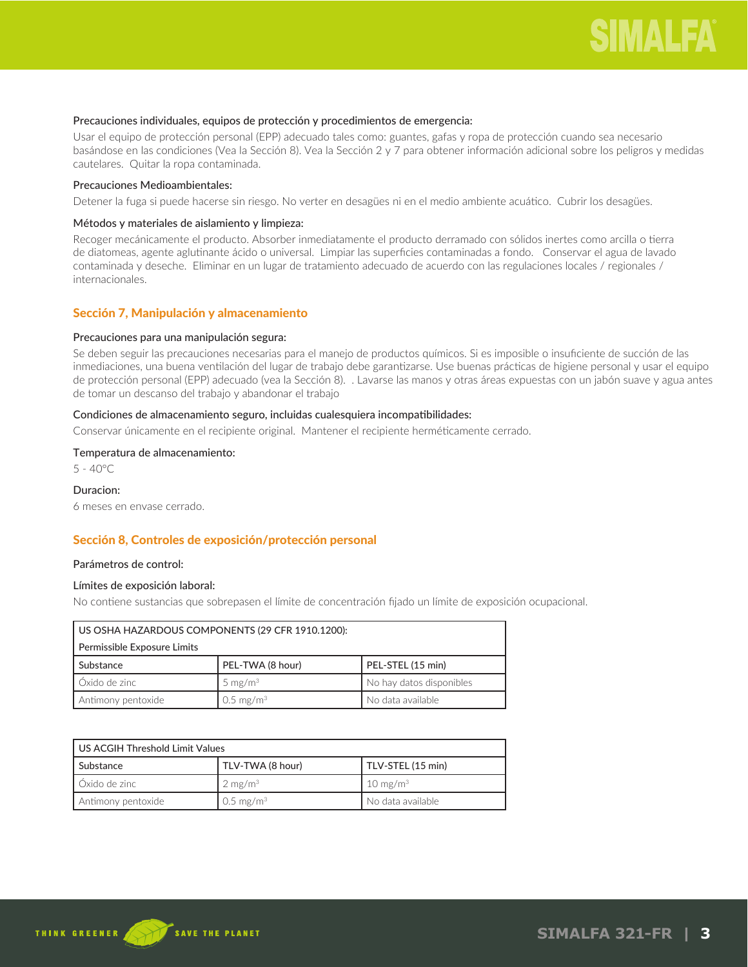#### Precauciones individuales, equipos de protección y procedimientos de emergencia:

Usar el equipo de protección personal (EPP) adecuado tales como: guantes, gafas y ropa de protección cuando sea necesario basándose en las condiciones (Vea la Sección 8). Vea la Sección 2 y 7 para obtener información adicional sobre los peligros y medidas cautelares. Quitar la ropa contaminada.

#### Precauciones Medioambientales:

Detener la fuga si puede hacerse sin riesgo. No verter en desagües ni en el medio ambiente acuático. Cubrir los desagües.

# Métodos y materiales de aislamiento y limpieza:

Recoger mecánicamente el producto. Absorber inmediatamente el producto derramado con sólidos inertes como arcilla o tierra de diatomeas, agente aglutinante ácido o universal. Limpiar las superficies contaminadas a fondo. Conservar el agua de lavado contaminada y deseche. Eliminar en un lugar de tratamiento adecuado de acuerdo con las regulaciones locales / regionales / internacionales.

# Sección 7, Manipulación y almacenamiento

# Precauciones para una manipulación segura:

Se deben seguir las precauciones necesarias para el manejo de productos químicos. Si es imposible o insuficiente de succión de las inmediaciones, una buena ventilación del lugar de trabajo debe garantizarse. Use buenas prácticas de higiene personal y usar el equipo de protección personal (EPP) adecuado (vea la Sección 8). . Lavarse las manos y otras áreas expuestas con un jabón suave y agua antes de tomar un descanso del trabajo y abandonar el trabajo

# Condiciones de almacenamiento seguro, incluidas cualesquiera incompatibilidades:

Conservar únicamente en el recipiente original. Mantener el recipiente herméticamente cerrado.

#### Temperatura de almacenamiento:

5 - 40°C

# Duracion:

6 meses en envase cerrado.

# Sección 8, Controles de exposición/protección personal

#### Parámetros de control:

# Límites de exposición laboral:

No contiene sustancias que sobrepasen el límite de concentración fijado un límite de exposición ocupacional.

| US OSHA HAZARDOUS COMPONENTS (29 CFR 1910.1200): |                      |                          |
|--------------------------------------------------|----------------------|--------------------------|
| Permissible Exposure Limits                      |                      |                          |
| Substance                                        | PEL-TWA (8 hour)     | PEL-STEL (15 min)        |
| Ⅰ Óxido de zinc                                  | 5 mg/m $3$           | No hay datos disponibles |
| Antimony pentoxide                               | $0.5 \text{ mg/m}^3$ | No data available        |

| l US ACGIH Threshold Limit Values |                      |                     |
|-----------------------------------|----------------------|---------------------|
| l Substance                       | TLV-TWA (8 hour)     | TLV-STEL (15 min)   |
| │Óxido de zinc                    | $2 \text{ mg/m}^3$   | $10 \text{ mg/m}^3$ |
| Antimony pentoxide                | $0.5 \text{ mg/m}^3$ | No data available   |

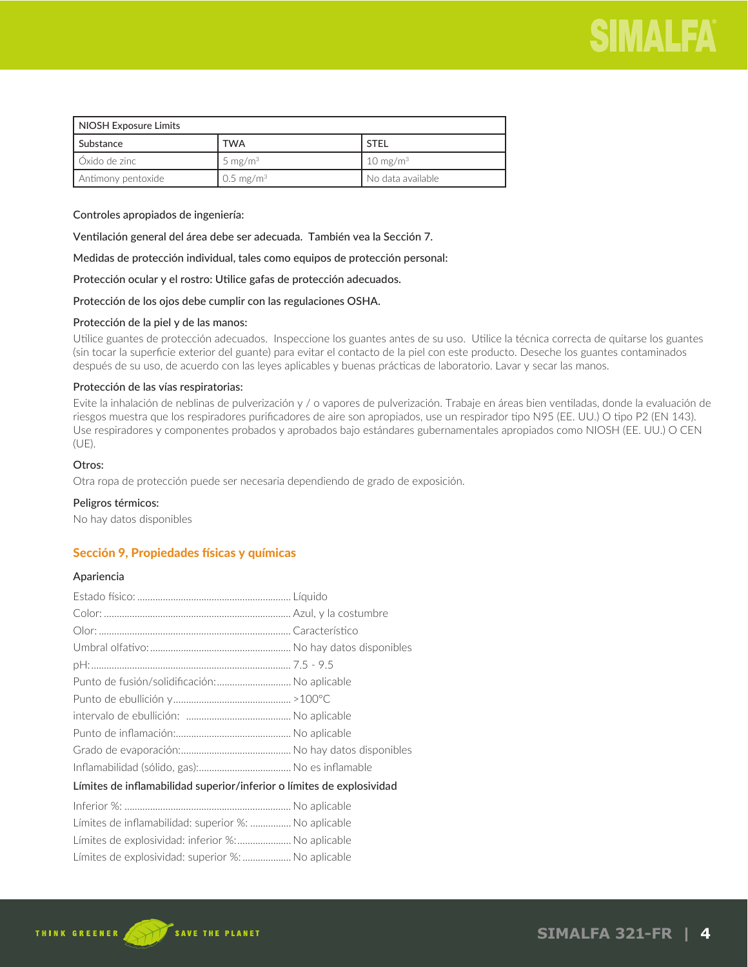

| NIOSH Exposure Limits |                       |                       |
|-----------------------|-----------------------|-----------------------|
| l Substance           | <b>TWA</b>            | <b>STEL</b>           |
| LÓxido de zinc⊥       | 5 mg/m <sup>3</sup>   | $10 \text{ mg/m}^3$   |
| Antimony pentoxide    | 0.5 mg/m <sup>3</sup> | l. No data available. |

Controles apropiados de ingeniería:

Ventilación general del área debe ser adecuada. También vea la Sección 7.

Medidas de protección individual, tales como equipos de protección personal:

Protección ocular y el rostro: Utilice gafas de protección adecuados.

Protección de los ojos debe cumplir con las regulaciones OSHA.

#### Protección de la piel y de las manos:

Utilice guantes de protección adecuados. Inspeccione los guantes antes de su uso. Utilice la técnica correcta de quitarse los guantes (sin tocar la superficie exterior del guante) para evitar el contacto de la piel con este producto. Deseche los guantes contaminados después de su uso, de acuerdo con las leyes aplicables y buenas prácticas de laboratorio. Lavar y secar las manos.

### Protección de las vías respiratorias:

Evite la inhalación de neblinas de pulverización y / o vapores de pulverización. Trabaje en áreas bien ventiladas, donde la evaluación de riesgos muestra que los respiradores purificadores de aire son apropiados, use un respirador tipo N95 (EE. UU.) O tipo P2 (EN 143). Use respiradores y componentes probados y aprobados bajo estándares gubernamentales apropiados como NIOSH (EE. UU.) O CEN (UE).

# Otros:

Otra ropa de protección puede ser necesaria dependiendo de grado de exposición.

#### Peligros térmicos:

No hay datos disponibles

# Sección 9, Propiedades físicas y químicas

#### Apariencia

| Punto de fusión/solidificación: No aplicable                          |  |
|-----------------------------------------------------------------------|--|
|                                                                       |  |
|                                                                       |  |
|                                                                       |  |
|                                                                       |  |
|                                                                       |  |
| Límites de inflamabilidad superior/inferior o límites de explosividad |  |
|                                                                       |  |
| Límites de inflamabilidad: superior %:  No aplicable                  |  |
| Límites de explosividad: inferior %:  No aplicable                    |  |
| Límites de explosividad: superior %:  No aplicable                    |  |

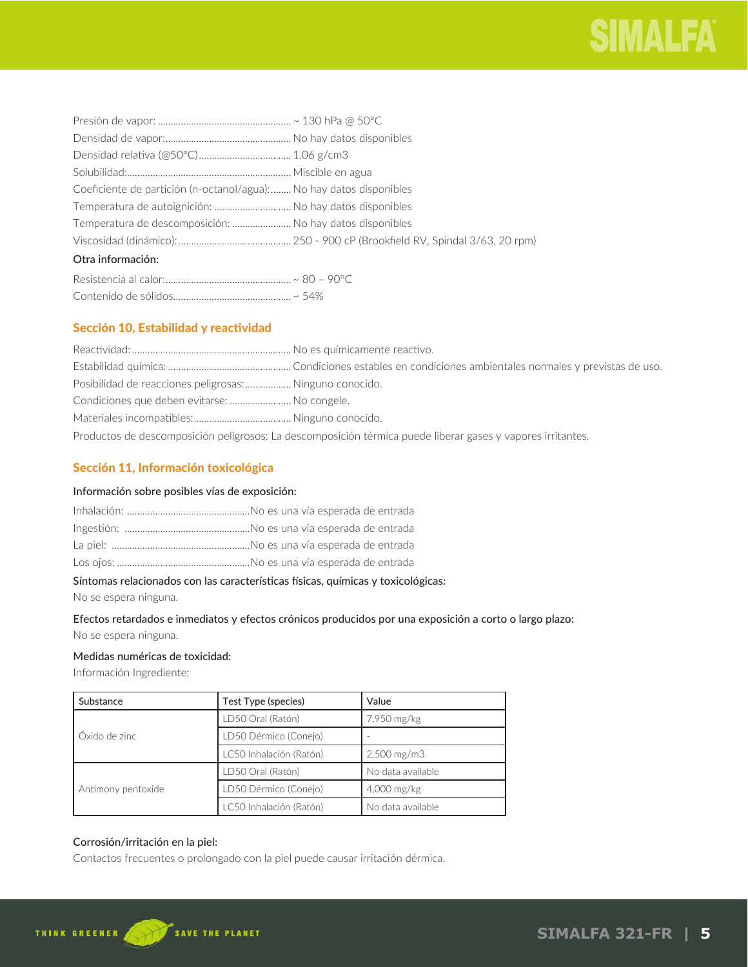| Coeficiente de partición (n-octanol/agua): No hay datos disponibles |  |
|---------------------------------------------------------------------|--|
| Temperatura de autoignición:  No hay datos disponibles              |  |
| Temperatura de descomposición:  No hay datos disponibles            |  |
|                                                                     |  |
| Otra información:                                                   |  |
|                                                                     |  |

# Contenido de sólidos.............................................. ~ 54%

# Sección 10, Estabilidad y reactividad

| Posibilidad de reacciones peligrosas:  Ninguno conocido. |                                                                                                             |
|----------------------------------------------------------|-------------------------------------------------------------------------------------------------------------|
| Condiciones que deben evitarse:  No congele.             |                                                                                                             |
|                                                          |                                                                                                             |
|                                                          | Productos de descomposición peligrosos: La descomposición térmica puede liberar gases y vapores irritantes. |

# Sección 11, Información toxicológica

# Información sobre posibles vías de exposición:

# Síntomas relacionados con las características físicas, químicas y toxicológicas:

No se espera ninguna.

# Efectos retardados e inmediatos y efectos crónicos producidos por una exposición a corto o largo plazo:

No se espera ninguna.

#### Medidas numéricas de toxicidad:

Información Ingrediente:

| Substance          | Test Type (species)     | Value             |
|--------------------|-------------------------|-------------------|
|                    | LD50 Oral (Ratón)       | 7,950 mg/kg       |
| LÓxido de zinc     | LD50 Dérmico (Conejo)   |                   |
|                    | LC50 Inhalación (Ratón) | $2,500$ mg/m $3$  |
|                    | LD50 Oral (Ratón)       | No data available |
| Antimony pentoxide | LD50 Dérmico (Conejo)   | 4,000 mg/kg       |
|                    | LC50 Inhalación (Ratón) | No data available |

# Corrosión/irritación en la piel:

Contactos frecuentes o prolongado con la piel puede causar irritación dérmica.

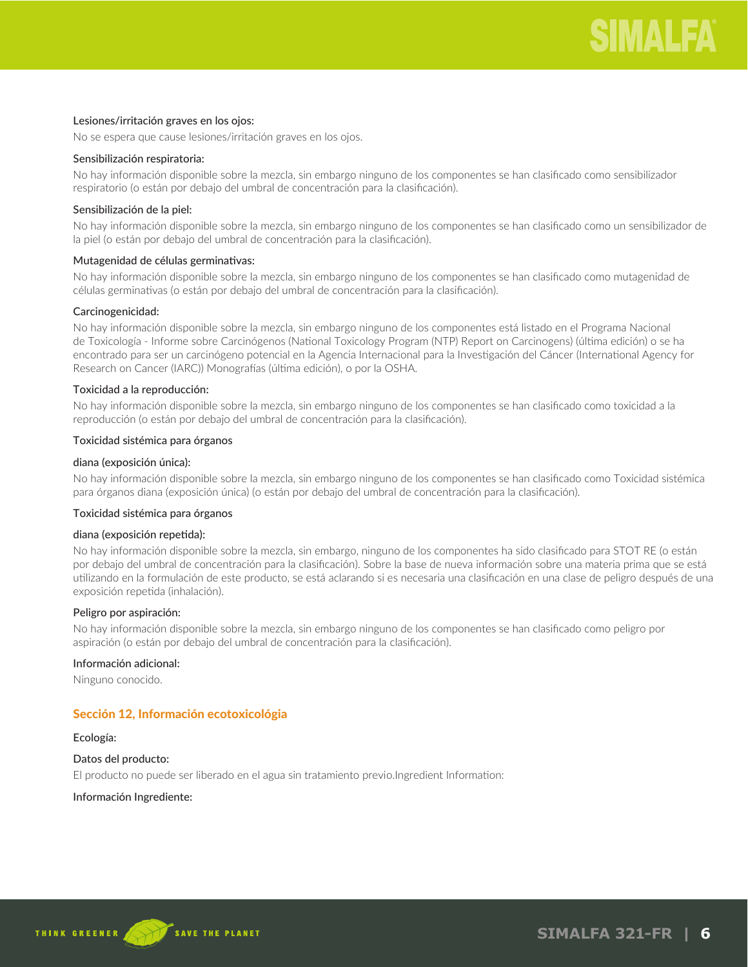## Lesiones/irritación graves en los ojos:

No se espera que cause lesiones/irritación graves en los ojos.

# Sensibilización respiratoria:

No hay información disponible sobre la mezcla, sin embargo ninguno de los componentes se han clasificado como sensibilizador respiratorio (o están por debajo del umbral de concentración para la clasificación).

#### Sensibilización de la piel:

No hay información disponible sobre la mezcla, sin embargo ninguno de los componentes se han clasificado como un sensibilizador de la piel (o están por debajo del umbral de concentración para la clasificación).

#### Mutagenidad de células germinativas:

No hay información disponible sobre la mezcla, sin embargo ninguno de los componentes se han clasificado como mutagenidad de células germinativas (o están por debajo del umbral de concentración para la clasificación).

#### Carcinogenicidad:

No hay información disponible sobre la mezcla, sin embargo ninguno de los componentes está listado en el Programa Nacional de Toxicología - Informe sobre Carcinógenos (National Toxicology Program (NTP) Report on Carcinogens) (última edición) o se ha encontrado para ser un carcinógeno potencial en la Agencia Internacional para la Investigación del Cáncer (International Agency for Research on Cancer (IARC)) Monografías (última edición), o por la OSHA.

#### Toxicidad a la reproducción:

No hay información disponible sobre la mezcla, sin embargo ninguno de los componentes se han clasificado como toxicidad a la reproducción (o están por debajo del umbral de concentración para la clasificación).

#### Toxicidad sistémica para órganos

#### diana (exposición única):

No hay información disponible sobre la mezcla, sin embargo ninguno de los componentes se han clasificado como Toxicidad sistémica para órganos diana (exposición única) (o están por debajo del umbral de concentración para la clasificación).

#### Toxicidad sistémica para órganos

#### diana (exposición repetida):

No hay información disponible sobre la mezcla, sin embargo, ninguno de los componentes ha sido clasificado para STOT RE (o están por debajo del umbral de concentración para la clasificación). Sobre la base de nueva información sobre una materia prima que se está utilizando en la formulación de este producto, se está aclarando si es necesaria una clasificación en una clase de peligro después de una exposición repetida (inhalación).

#### Peligro por aspiración:

No hay información disponible sobre la mezcla, sin embargo ninguno de los componentes se han clasificado como peligro por aspiración (o están por debajo del umbral de concentración para la clasificación).

#### Información adicional:

Ninguno conocido.

# Sección 12, Información ecotoxicológia

#### Ecología:

#### Datos del producto:

El producto no puede ser liberado en el agua sin tratamiento previo.Ingredient Information:

# Información Ingrediente:



**SIMALFA 321-FR | 6**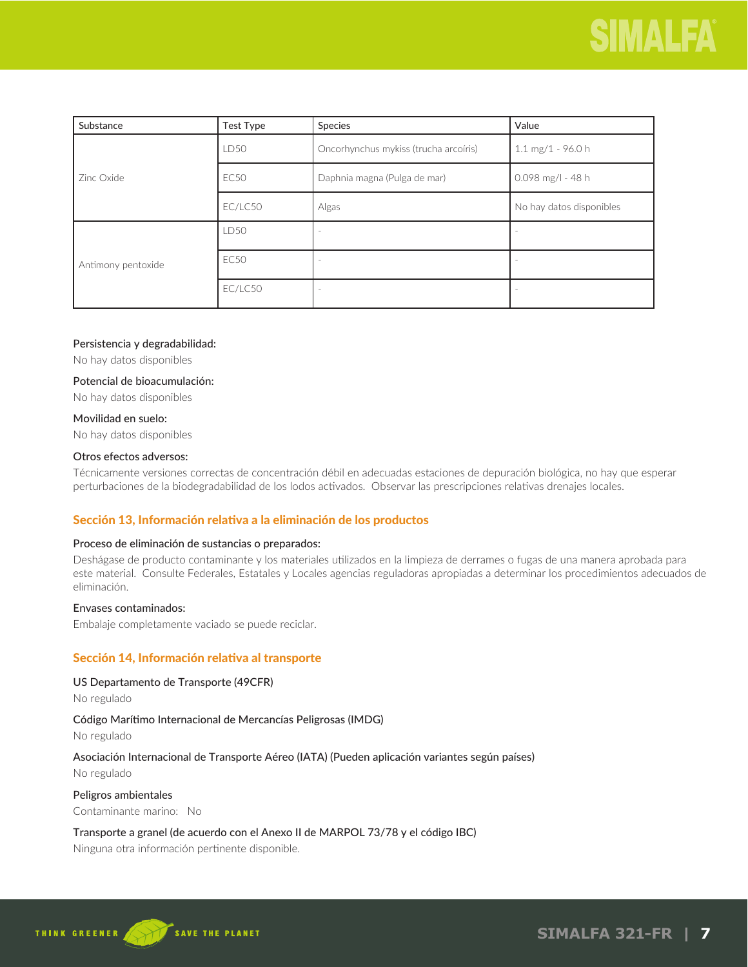| Substance          | <b>Test Type</b> | Species                               | Value                    |
|--------------------|------------------|---------------------------------------|--------------------------|
| Zinc Oxide         | <b>LD50</b>      | Oncorhynchus mykiss (trucha arcoíris) | $1.1$ mg/1 - 96.0 h      |
|                    | <b>EC50</b>      | Daphnia magna (Pulga de mar)          | $0.098$ mg/l - 48 h      |
|                    | EC/LC50          | Algas                                 | No hay datos disponibles |
| Antimony pentoxide | LD50             |                                       |                          |
|                    | <b>EC50</b>      |                                       |                          |
|                    | EC/LC50          |                                       |                          |

#### Persistencia y degradabilidad:

No hay datos disponibles

# Potencial de bioacumulación:

No hay datos disponibles

## Movilidad en suelo:

No hay datos disponibles

## Otros efectos adversos:

Técnicamente versiones correctas de concentración débil en adecuadas estaciones de depuración biológica, no hay que esperar perturbaciones de la biodegradabilidad de los lodos activados. Observar las prescripciones relativas drenajes locales.

# Sección 13, Información relativa a la eliminación de los productos

# Proceso de eliminación de sustancias o preparados:

Deshágase de producto contaminante y los materiales utilizados en la limpieza de derrames o fugas de una manera aprobada para este material. Consulte Federales, Estatales y Locales agencias reguladoras apropiadas a determinar los procedimientos adecuados de eliminación.

#### Envases contaminados:

Embalaje completamente vaciado se puede reciclar.

# Sección 14, Información relativa al transporte

# US Departamento de Transporte (49CFR)

No regulado

# Código Marítimo Internacional de Mercancías Peligrosas (IMDG)

No regulado

# Asociación Internacional de Transporte Aéreo (IATA) (Pueden aplicación variantes según países)

No regulado

#### Peligros ambientales

Contaminante marino: No

# Transporte a granel (de acuerdo con el Anexo II de MARPOL 73/78 y el código IBC)

Ninguna otra información pertinente disponible.

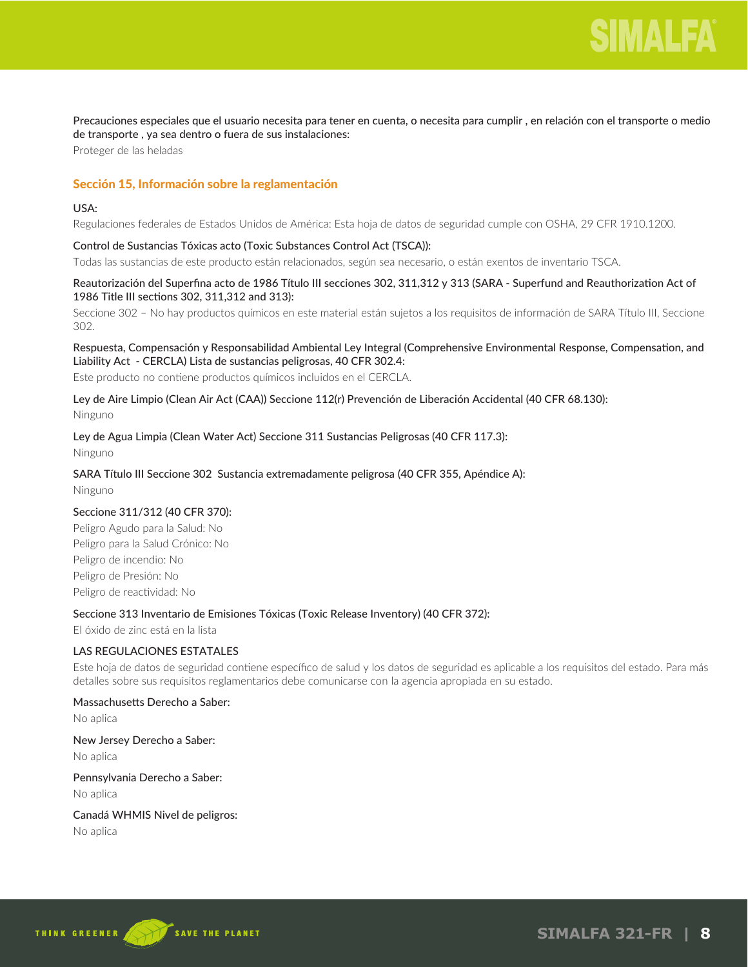

Precauciones especiales que el usuario necesita para tener en cuenta, o necesita para cumplir , en relación con el transporte o medio de transporte , ya sea dentro o fuera de sus instalaciones:

Proteger de las heladas

# Sección 15, Información sobre la reglamentación

#### USA:

Regulaciones federales de Estados Unidos de América: Esta hoja de datos de seguridad cumple con OSHA, 29 CFR 1910.1200.

# Control de Sustancias Tóxicas acto (Toxic Substances Control Act (TSCA)):

Todas las sustancias de este producto están relacionados, según sea necesario, o están exentos de inventario TSCA.

# Reautorización del Superfina acto de 1986 Título III secciones 302, 311,312 y 313 (SARA - Superfund and Reauthorization Act of 1986 Title III sections 302, 311,312 and 313):

Seccione 302 – No hay productos químicos en este material están sujetos a los requisitos de información de SARA Título III, Seccione 302.

### Respuesta, Compensación y Responsabilidad Ambiental Ley Integral (Comprehensive Environmental Response, Compensation, and Liability Act - CERCLA) Lista de sustancias peligrosas, 40 CFR 302.4:

Este producto no contiene productos químicos incluidos en el CERCLA.

# Ley de Aire Limpio (Clean Air Act (CAA)) Seccione 112(r) Prevención de Liberación Accidental (40 CFR 68.130):

Ninguno

#### Ley de Agua Limpia (Clean Water Act) Seccione 311 Sustancias Peligrosas (40 CFR 117.3):

Ninguno

# SARA Título III Seccione 302 Sustancia extremadamente peligrosa (40 CFR 355, Apéndice A):

Ninguno

#### Seccione 311/312 (40 CFR 370):

Peligro Agudo para la Salud: No Peligro para la Salud Crónico: No Peligro de incendio: No Peligro de Presión: No Peligro de reactividad: No

#### Seccione 313 Inventario de Emisiones Tóxicas (Toxic Release Inventory) (40 CFR 372):

El óxido de zinc está en la lista

# LAS REGULACIONES ESTATALES

Este hoja de datos de seguridad contiene específico de salud y los datos de seguridad es aplicable a los requisitos del estado. Para más detalles sobre sus requisitos reglamentarios debe comunicarse con la agencia apropiada en su estado.

#### Massachusetts Derecho a Saber:

No aplica

# New Jersey Derecho a Saber: No aplica

Pennsylvania Derecho a Saber: No aplica

#### Canadá WHMIS Nivel de peligros:

No aplica